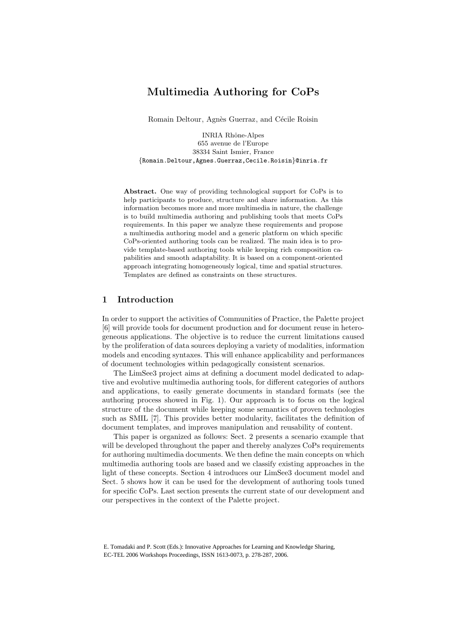# Multimedia Authoring for CoPs

Romain Deltour, Agnès Guerraz, and Cécile Roisin

INRIA Rhône-Alpes 655 avenue de l'Europe 38334 Saint Ismier, France {Romain.Deltour,Agnes.Guerraz,Cecile.Roisin}@inria.fr

Abstract. One way of providing technological support for CoPs is to help participants to produce, structure and share information. As this information becomes more and more multimedia in nature, the challenge is to build multimedia authoring and publishing tools that meets CoPs requirements. In this paper we analyze these requirements and propose a multimedia authoring model and a generic platform on which specific CoPs-oriented authoring tools can be realized. The main idea is to provide template-based authoring tools while keeping rich composition capabilities and smooth adaptability. It is based on a component-oriented approach integrating homogeneously logical, time and spatial structures. Templates are defined as constraints on these structures.

# 1 Introduction

In order to support the activities of Communities of Practice, the Palette project [6] will provide tools for document production and for document reuse in heterogeneous applications. The objective is to reduce the current limitations caused by the proliferation of data sources deploying a variety of modalities, information models and encoding syntaxes. This will enhance applicability and performances of document technologies within pedagogically consistent scenarios.

The LimSee3 project aims at defining a document model dedicated to adaptive and evolutive multimedia authoring tools, for different categories of authors and applications, to easily generate documents in standard formats (see the authoring process showed in Fig. 1). Our approach is to focus on the logical structure of the document while keeping some semantics of proven technologies such as SMIL [7]. This provides better modularity, facilitates the definition of document templates, and improves manipulation and reusability of content.

This paper is organized as follows: Sect. 2 presents a scenario example that will be developed throughout the paper and thereby analyzes CoPs requirements for authoring multimedia documents. We then define the main concepts on which multimedia authoring tools are based and we classify existing approaches in the light of these concepts. Section 4 introduces our LimSee3 document model and Sect. 5 shows how it can be used for the development of authoring tools tuned for specific CoPs. Last section presents the current state of our development and our perspectives in the context of the Palette project.

E. Tomadaki and P. Scott (Eds.): Innovative Approaches for Learning and Knowledge Sharing, EC-TEL 2006 Workshops Proceedings, ISSN 1613-0073, p. 278-287, 2006.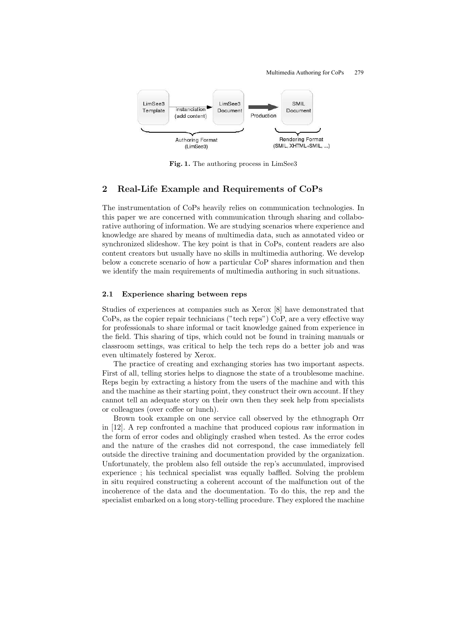Multimedia Authoring for CoPs 279



Fig. 1. The authoring process in LimSee3

## 2 Real-Life Example and Requirements of CoPs

The instrumentation of CoPs heavily relies on communication technologies. In this paper we are concerned with communication through sharing and collaborative authoring of information. We are studying scenarios where experience and knowledge are shared by means of multimedia data, such as annotated video or synchronized slideshow. The key point is that in CoPs, content readers are also content creators but usually have no skills in multimedia authoring. We develop below a concrete scenario of how a particular CoP shares information and then we identify the main requirements of multimedia authoring in such situations.

### 2.1 Experience sharing between reps

Studies of experiences at companies such as Xerox [8] have demonstrated that CoPs, as the copier repair technicians ("tech reps") CoP, are a very effective way for professionals to share informal or tacit knowledge gained from experience in the field. This sharing of tips, which could not be found in training manuals or classroom settings, was critical to help the tech reps do a better job and was even ultimately fostered by Xerox.

The practice of creating and exchanging stories has two important aspects. First of all, telling stories helps to diagnose the state of a troublesome machine. Reps begin by extracting a history from the users of the machine and with this and the machine as their starting point, they construct their own account. If they cannot tell an adequate story on their own then they seek help from specialists or colleagues (over coffee or lunch).

Brown took example on one service call observed by the ethnograph Orr in [12]. A rep confronted a machine that produced copious raw information in the form of error codes and obligingly crashed when tested. As the error codes and the nature of the crashes did not correspond, the case immediately fell outside the directive training and documentation provided by the organization. Unfortunately, the problem also fell outside the rep's accumulated, improvised experience ; his technical specialist was equally baffled. Solving the problem in situ required constructing a coherent account of the malfunction out of the incoherence of the data and the documentation. To do this, the rep and the specialist embarked on a long story-telling procedure. They explored the machine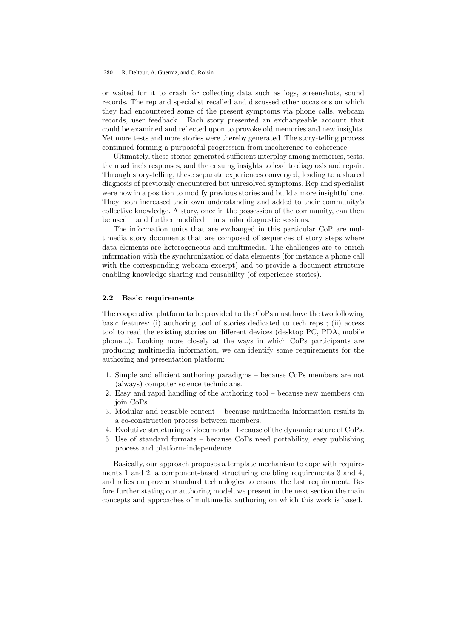or waited for it to crash for collecting data such as logs, screenshots, sound records. The rep and specialist recalled and discussed other occasions on which they had encountered some of the present symptoms via phone calls, webcam records, user feedback... Each story presented an exchangeable account that could be examined and reflected upon to provoke old memories and new insights. Yet more tests and more stories were thereby generated. The story-telling process continued forming a purposeful progression from incoherence to coherence.

Ultimately, these stories generated sufficient interplay among memories, tests, the machine's responses, and the ensuing insights to lead to diagnosis and repair. Through story-telling, these separate experiences converged, leading to a shared diagnosis of previously encountered but unresolved symptoms. Rep and specialist were now in a position to modify previous stories and build a more insightful one. They both increased their own understanding and added to their community's collective knowledge. A story, once in the possession of the community, can then be used – and further modified – in similar diagnostic sessions.

The information units that are exchanged in this particular CoP are multimedia story documents that are composed of sequences of story steps where data elements are heterogeneous and multimedia. The challenges are to enrich information with the synchronization of data elements (for instance a phone call with the corresponding webcam excerpt) and to provide a document structure enabling knowledge sharing and reusability (of experience stories).

#### 2.2 Basic requirements

The cooperative platform to be provided to the CoPs must have the two following basic features: (i) authoring tool of stories dedicated to tech reps ; (ii) access tool to read the existing stories on different devices (desktop PC, PDA, mobile phone...). Looking more closely at the ways in which CoPs participants are producing multimedia information, we can identify some requirements for the authoring and presentation platform:

- 1. Simple and efficient authoring paradigms because CoPs members are not (always) computer science technicians.
- 2. Easy and rapid handling of the authoring tool because new members can join CoPs.
- 3. Modular and reusable content because multimedia information results in a co-construction process between members.
- 4. Evolutive structuring of documents because of the dynamic nature of CoPs.
- 5. Use of standard formats because CoPs need portability, easy publishing process and platform-independence.

Basically, our approach proposes a template mechanism to cope with requirements 1 and 2, a component-based structuring enabling requirements 3 and 4, and relies on proven standard technologies to ensure the last requirement. Before further stating our authoring model, we present in the next section the main concepts and approaches of multimedia authoring on which this work is based.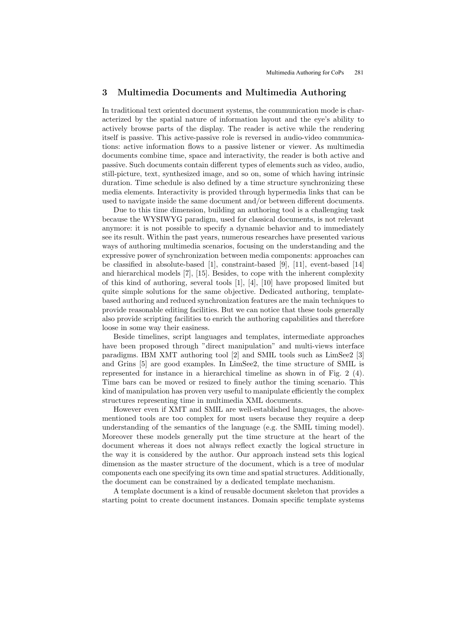### 3 Multimedia Documents and Multimedia Authoring

In traditional text oriented document systems, the communication mode is characterized by the spatial nature of information layout and the eye's ability to actively browse parts of the display. The reader is active while the rendering itself is passive. This active-passive role is reversed in audio-video communications: active information flows to a passive listener or viewer. As multimedia documents combine time, space and interactivity, the reader is both active and passive. Such documents contain different types of elements such as video, audio, still-picture, text, synthesized image, and so on, some of which having intrinsic duration. Time schedule is also defined by a time structure synchronizing these media elements. Interactivity is provided through hypermedia links that can be used to navigate inside the same document and/or between different documents.

Due to this time dimension, building an authoring tool is a challenging task because the WYSIWYG paradigm, used for classical documents, is not relevant anymore: it is not possible to specify a dynamic behavior and to immediately see its result. Within the past years, numerous researches have presented various ways of authoring multimedia scenarios, focusing on the understanding and the expressive power of synchronization between media components: approaches can be classified in absolute-based [1], constraint-based [9], [11], event-based [14] and hierarchical models [7], [15]. Besides, to cope with the inherent complexity of this kind of authoring, several tools [1], [4], [10] have proposed limited but quite simple solutions for the same objective. Dedicated authoring, templatebased authoring and reduced synchronization features are the main techniques to provide reasonable editing facilities. But we can notice that these tools generally also provide scripting facilities to enrich the authoring capabilities and therefore loose in some way their easiness.

Beside timelines, script languages and templates, intermediate approaches have been proposed through "direct manipulation" and multi-views interface paradigms. IBM XMT authoring tool [2] and SMIL tools such as LimSee2 [3] and Grins [5] are good examples. In LimSee2, the time structure of SMIL is represented for instance in a hierarchical timeline as shown in of Fig. 2 (4). Time bars can be moved or resized to finely author the timing scenario. This kind of manipulation has proven very useful to manipulate efficiently the complex structures representing time in multimedia XML documents.

However even if XMT and SMIL are well-established languages, the abovementioned tools are too complex for most users because they require a deep understanding of the semantics of the language (e.g. the SMIL timing model). Moreover these models generally put the time structure at the heart of the document whereas it does not always reflect exactly the logical structure in the way it is considered by the author. Our approach instead sets this logical dimension as the master structure of the document, which is a tree of modular components each one specifying its own time and spatial structures. Additionally, the document can be constrained by a dedicated template mechanism.

A template document is a kind of reusable document skeleton that provides a starting point to create document instances. Domain specific template systems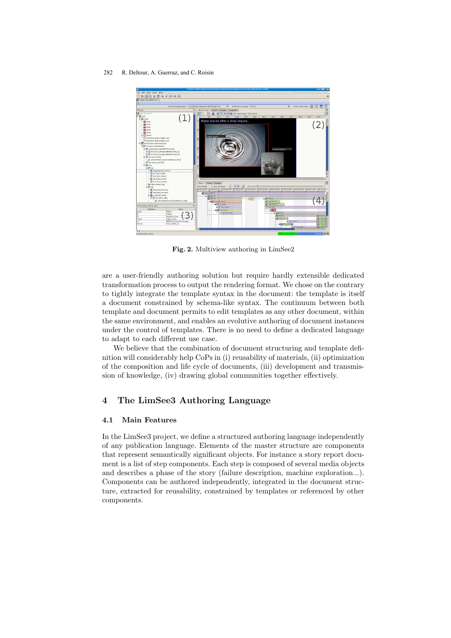

Fig. 2. Multiview authoring in LimSee2

are a user-friendly authoring solution but require hardly extensible dedicated transformation process to output the rendering format. We chose on the contrary to tightly integrate the template syntax in the document: the template is itself a document constrained by schema-like syntax. The continuum between both template and document permits to edit templates as any other document, within the same environment, and enables an evolutive authoring of document instances under the control of templates. There is no need to define a dedicated language to adapt to each different use case.

We believe that the combination of document structuring and template definition will considerably help CoPs in (i) reusability of materials, (ii) optimization of the composition and life cycle of documents, (iii) development and transmission of knowledge, (iv) drawing global communities together effectively.

# 4 The LimSee3 Authoring Language

### 4.1 Main Features

In the LimSee3 project, we define a structured authoring language independently of any publication language. Elements of the master structure are components that represent semantically significant objects. For instance a story report document is a list of step components. Each step is composed of several media objects and describes a phase of the story (failure description, machine exploration...). Components can be authored independently, integrated in the document structure, extracted for reusability, constrained by templates or referenced by other components.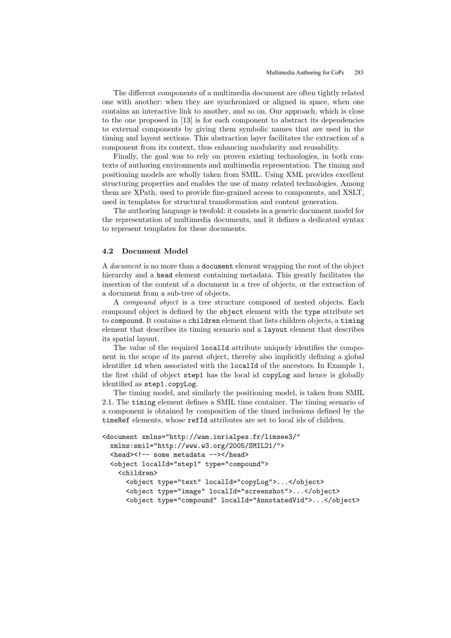The different components of a multimedia document are often tightly related one with another: when they are synchronized or aligned in space, when one contains an interactive link to another, and so on. Our approach, which is close to the one proposed in [13] is for each component to abstract its dependencies to external components by giving them symbolic names that are used in the timing and layout sections. This abstraction layer facilitates the extraction of a component from its context, thus enhancing modularity and reusability.

Finally, the goal was to rely on proven existing technologies, in both contexts of authoring environments and multimedia representation. The timing and positioning models are wholly taken from SMIL. Using XML provides excellent structuring properties and enables the use of many related technologies. Among them are XPath, used to provide fine-grained access to components, and XSLT, used in templates for structural transformation and content generation.

The authoring language is twofold: it consists in a generic document model for the representation of multimedia documents, and it defines a dedicated syntax to represent templates for these documents.

#### 4.2 Document Model

A document is no more than a document element wrapping the root of the object hierarchy and a head element containing metadata. This greatly facilitates the insertion of the content of a document in a tree of objects, or the extraction of a document from a sub-tree of objects.

A compound object is a tree structure composed of nested objects. Each compound object is defined by the object element with the type attribute set to compound. It contains a children element that lists children objects, a timing element that describes its timing scenario and a layout element that describes its spatial layout.

The value of the required localId attribute uniquely identifies the component in the scope of its parent object, thereby also implicitly defining a global identifier id when associated with the localId of the ancestors. In Example 1, the first child of object step1 has the local id copyLog and hence is globally identified as step1.copyLog.

The timing model, and similarly the positioning model, is taken from SMIL 2.1. The timing element defines a SMIL time container. The timing scenario of a component is obtained by composition of the timed inclusions defined by the timeRef elements, whose refId attributes are set to local ids of children.

```
<document xmlns="http://wam.inrialpes.fr/limsee3/"
 xmlns:smil="http://www.w3.org/2005/SMIL21/">
  <head><!-- some metadata --></head>
 <object localId="step1" type="compound">
    <children>
      <object type="text" localId="copyLog">...</object>
      <object type="image" localId="screenshot">...</object>
      <object type="compound" localId="AnnotatedVid">...</object>
```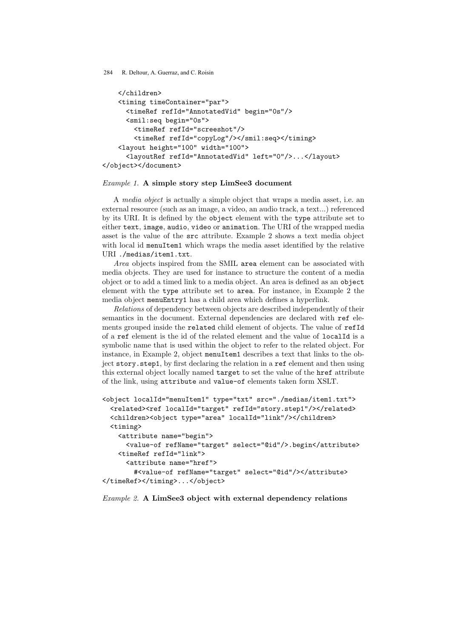```
</children>
   <timing timeContainer="par">
     <timeRef refId="AnnotatedVid" begin="0s"/>
      <smil:seq begin="0s">
        <timeRef refId="screeshot"/>
        <timeRef refId="copyLog"/></smil:seq></timing>
   <layout height="100" width="100">
      <layoutRef refId="AnnotatedVid" left="0"/>...</layout>
</object></document>
```
#### Example 1. A simple story step LimSee3 document

A media object is actually a simple object that wraps a media asset, i.e. an external resource (such as an image, a video, an audio track, a text...) referenced by its URI. It is defined by the object element with the type attribute set to either text, image, audio, video or animation. The URI of the wrapped media asset is the value of the src attribute. Example 2 shows a text media object with local id menuItem1 which wraps the media asset identified by the relative URI ./medias/item1.txt.

Area objects inspired from the SMIL area element can be associated with media objects. They are used for instance to structure the content of a media object or to add a timed link to a media object. An area is defined as an object element with the type attribute set to area. For instance, in Example 2 the media object menuEntry1 has a child area which defines a hyperlink.

Relations of dependency between objects are described independently of their semantics in the document. External dependencies are declared with ref elements grouped inside the related child element of objects. The value of refId of a ref element is the id of the related element and the value of localId is a symbolic name that is used within the object to refer to the related object. For instance, in Example 2, object menuItem1 describes a text that links to the object story.step1, by first declaring the relation in a ref element and then using this external object locally named target to set the value of the href attribute of the link, using attribute and value-of elements taken form XSLT.

```
<object localId="menuItem1" type="txt" src="./medias/item1.txt">
 <related><ref localId="target" refId="story.step1"/></related>
 <children><object type="area" localId="link"/></children>
 <timing>
   <attribute name="begin">
     <value-of refName="target" select="@id"/>.begin</attribute>
   <timeRef refId="link">
      <attribute name="href">
        #<value-of refName="target" select="@id"/></attribute>
</timeRef></timing>...</object>
```
### Example 2. A LimSee3 object with external dependency relations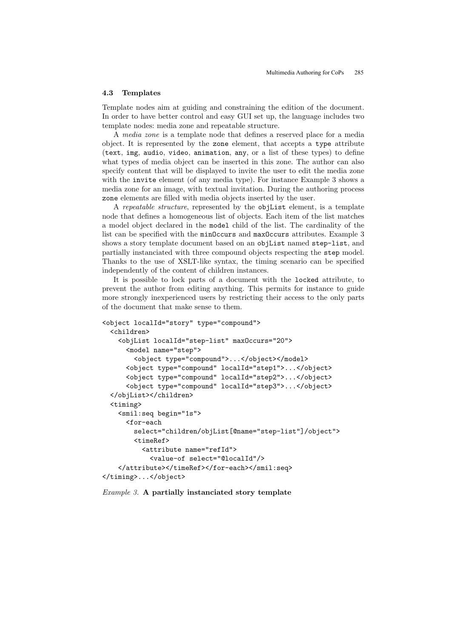#### 4.3 Templates

Template nodes aim at guiding and constraining the edition of the document. In order to have better control and easy GUI set up, the language includes two template nodes: media zone and repeatable structure.

A media zone is a template node that defines a reserved place for a media object. It is represented by the zone element, that accepts a type attribute (text, img, audio, video, animation, any, or a list of these types) to define what types of media object can be inserted in this zone. The author can also specify content that will be displayed to invite the user to edit the media zone with the invite element (of any media type). For instance Example 3 shows a media zone for an image, with textual invitation. During the authoring process zone elements are filled with media objects inserted by the user.

A repeatable structure, represented by the objList element, is a template node that defines a homogeneous list of objects. Each item of the list matches a model object declared in the model child of the list. The cardinality of the list can be specified with the minOccurs and maxOccurs attributes. Example 3 shows a story template document based on an objList named step-list, and partially instanciated with three compound objects respecting the step model. Thanks to the use of XSLT-like syntax, the timing scenario can be specified independently of the content of children instances.

It is possible to lock parts of a document with the locked attribute, to prevent the author from editing anything. This permits for instance to guide more strongly inexperienced users by restricting their access to the only parts of the document that make sense to them.

```
<object localId="story" type="compound">
 <children>
    <objList localId="step-list" maxOccurs="20">
      <model name="step">
        <object type="compound">...</object></model>
      <object type="compound" localId="step1">...</object>
      <object type="compound" localId="step2">...</object>
      <object type="compound" localId="step3">...</object>
 </objList></children>
 <timing>
    <smil:seq begin="1s">
      <for-each
        select="children/objList[@name="step-list"]/object">
        <timeRef>
          <attribute name="refId">
            <value-of select="@localId"/>
    </attribute></timeRef></for-each></smil:seq>
</timing>...</object>
```
Example 3. A partially instanciated story template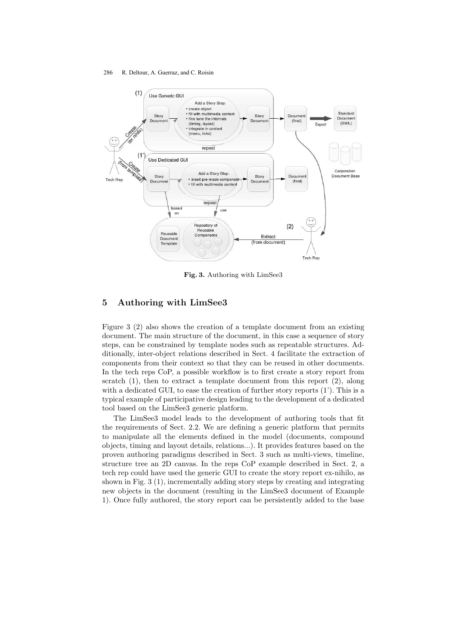

Fig. 3. Authoring with LimSee3

# 5 Authoring with LimSee3

Figure 3 (2) also shows the creation of a template document from an existing document. The main structure of the document, in this case a sequence of story steps, can be constrained by template nodes such as repeatable structures. Additionally, inter-object relations described in Sect. 4 facilitate the extraction of components from their context so that they can be reused in other documents. In the tech reps CoP, a possible workflow is to first create a story report from scratch  $(1)$ , then to extract a template document from this report  $(2)$ , along with a dedicated GUI, to ease the creation of further story reports (1'). This is a typical example of participative design leading to the development of a dedicated tool based on the LimSee3 generic platform.

The LimSee3 model leads to the development of authoring tools that fit the requirements of Sect. 2.2. We are defining a generic platform that permits to manipulate all the elements defined in the model (documents, compound objects, timing and layout details, relations...). It provides features based on the proven authoring paradigms described in Sect. 3 such as multi-views, timeline, structure tree an 2D canvas. In the reps CoP example described in Sect. 2, a tech rep could have used the generic GUI to create the story report ex-nihilo, as shown in Fig. 3 (1), incrementally adding story steps by creating and integrating new objects in the document (resulting in the LimSee3 document of Example 1). Once fully authored, the story report can be persistently added to the base